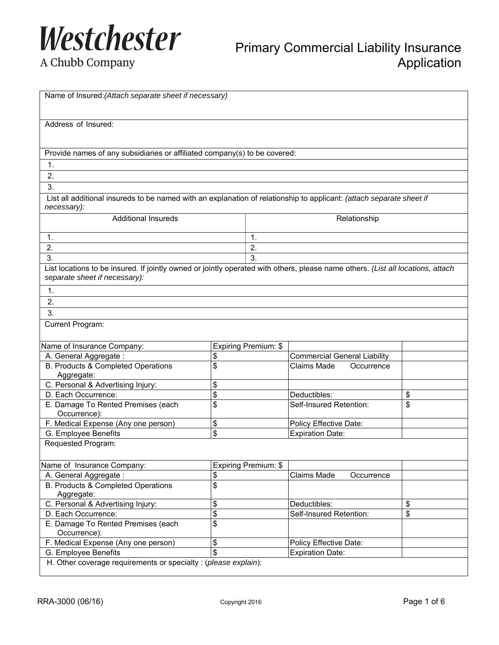

Primary Commercial Liability Insurance Application

|  | A Chubb Company |
|--|-----------------|
|--|-----------------|

| Name of Insured: (Attach separate sheet if necessary)                                                                                                            |    |                      |                                     |    |
|------------------------------------------------------------------------------------------------------------------------------------------------------------------|----|----------------------|-------------------------------------|----|
| Address of Insured:                                                                                                                                              |    |                      |                                     |    |
|                                                                                                                                                                  |    |                      |                                     |    |
|                                                                                                                                                                  |    |                      |                                     |    |
| Provide names of any subsidiaries or affiliated company(s) to be covered:                                                                                        |    |                      |                                     |    |
| 1.                                                                                                                                                               |    |                      |                                     |    |
| 2.                                                                                                                                                               |    |                      |                                     |    |
| 3.                                                                                                                                                               |    |                      |                                     |    |
| List all additional insureds to be named with an explanation of relationship to applicant: (attach separate sheet if                                             |    |                      |                                     |    |
| necessary):                                                                                                                                                      |    |                      |                                     |    |
| <b>Additional Insureds</b>                                                                                                                                       |    |                      | Relationship                        |    |
|                                                                                                                                                                  |    |                      |                                     |    |
| 1.                                                                                                                                                               |    | 1.                   |                                     |    |
| 2.                                                                                                                                                               |    | 2.                   |                                     |    |
| 3.                                                                                                                                                               |    | 3.                   |                                     |    |
| List locations to be insured. If jointly owned or jointly operated with others, please name others. (List all locations, attach<br>separate sheet if necessary): |    |                      |                                     |    |
| 1.                                                                                                                                                               |    |                      |                                     |    |
| 2.                                                                                                                                                               |    |                      |                                     |    |
| 3.                                                                                                                                                               |    |                      |                                     |    |
|                                                                                                                                                                  |    |                      |                                     |    |
| Current Program:                                                                                                                                                 |    |                      |                                     |    |
| Name of Insurance Company:                                                                                                                                       |    | Expiring Premium: \$ |                                     |    |
| A. General Aggregate:                                                                                                                                            | \$ |                      | <b>Commercial General Liability</b> |    |
| B. Products & Completed Operations                                                                                                                               | \$ |                      | Claims Made<br>Occurrence           |    |
| Aggregate:                                                                                                                                                       |    |                      |                                     |    |
| C. Personal & Advertising Injury:                                                                                                                                | \$ |                      |                                     |    |
| D. Each Occurrence:                                                                                                                                              | \$ |                      | Deductibles:                        | \$ |
| E. Damage To Rented Premises (each                                                                                                                               | \$ |                      | Self-Insured Retention:             | \$ |
| Occurrence):                                                                                                                                                     |    |                      |                                     |    |
| F. Medical Expense (Any one person)                                                                                                                              | \$ |                      | Policy Effective Date:              |    |
| G. Employee Benefits                                                                                                                                             | \$ |                      | <b>Expiration Date:</b>             |    |
| Requested Program:                                                                                                                                               |    |                      |                                     |    |
|                                                                                                                                                                  |    |                      |                                     |    |
| Name of Insurance Company:                                                                                                                                       |    | Expiring Premium: \$ |                                     |    |
| A. General Aggregate:                                                                                                                                            | \$ |                      | Claims Made<br>Occurrence           |    |
| B. Products & Completed Operations                                                                                                                               | \$ |                      |                                     |    |
| Aggregate:                                                                                                                                                       |    |                      |                                     |    |
| C. Personal & Advertising Injury:                                                                                                                                | \$ |                      | Deductibles:                        | \$ |
| D. Each Occurrence:                                                                                                                                              | \$ |                      | Self-Insured Retention:             | \$ |
| E. Damage To Rented Premises (each                                                                                                                               | \$ |                      |                                     |    |
| Occurrence):                                                                                                                                                     |    |                      |                                     |    |
| F. Medical Expense (Any one person)                                                                                                                              | \$ |                      | Policy Effective Date:              |    |
| G. Employee Benefits                                                                                                                                             | \$ |                      | <b>Expiration Date:</b>             |    |
| H. Other coverage requirements or specialty : (please explain):                                                                                                  |    |                      |                                     |    |
|                                                                                                                                                                  |    |                      |                                     |    |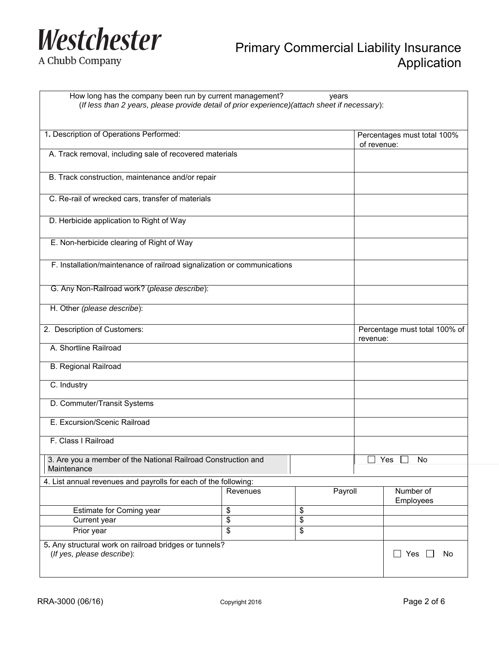

A Chubb Company

# Primary Commercial Liability Insurance **Application**

How long has the company been run by current management? years (*If less than 2 years, please provide detail of prior experience)(attach sheet if necessary*):

| 1. Description of Operations Performed:                                              |                         |                           | Percentages must total 100%               |                        |
|--------------------------------------------------------------------------------------|-------------------------|---------------------------|-------------------------------------------|------------------------|
| A. Track removal, including sale of recovered materials                              |                         |                           | of revenue:                               |                        |
|                                                                                      |                         |                           |                                           |                        |
| B. Track construction, maintenance and/or repair                                     |                         |                           |                                           |                        |
| C. Re-rail of wrecked cars, transfer of materials                                    |                         |                           |                                           |                        |
|                                                                                      |                         |                           |                                           |                        |
| D. Herbicide application to Right of Way                                             |                         |                           |                                           |                        |
| E. Non-herbicide clearing of Right of Way                                            |                         |                           |                                           |                        |
| F. Installation/maintenance of railroad signalization or communications              |                         |                           |                                           |                        |
|                                                                                      |                         |                           |                                           |                        |
| G. Any Non-Railroad work? (please describe):                                         |                         |                           |                                           |                        |
| H. Other (please describe):                                                          |                         |                           |                                           |                        |
| 2. Description of Customers:                                                         |                         |                           | Percentage must total 100% of<br>revenue: |                        |
| A. Shortline Railroad                                                                |                         |                           |                                           |                        |
| <b>B. Regional Railroad</b>                                                          |                         |                           |                                           |                        |
| C. Industry                                                                          |                         |                           |                                           |                        |
| D. Commuter/Transit Systems                                                          |                         |                           |                                           |                        |
| E. Excursion/Scenic Railroad                                                         |                         |                           |                                           |                        |
| F. Class I Railroad                                                                  |                         |                           |                                           |                        |
| 3. Are you a member of the National Railroad Construction and<br>Maintenance         |                         |                           | Yes<br>No                                 |                        |
| 4. List annual revenues and payrolls for each of the following:                      |                         |                           |                                           |                        |
|                                                                                      | Revenues                | Payroll                   |                                           | Number of<br>Employees |
| Estimate for Coming year                                                             | \$                      | \$                        |                                           |                        |
| Current year                                                                         | \$                      | \$                        |                                           |                        |
| Prior year                                                                           | $\overline{\mathbb{S}}$ | $\boldsymbol{\mathsf{S}}$ |                                           |                        |
| 5. Any structural work on railroad bridges or tunnels?<br>(If yes, please describe): |                         |                           |                                           | $\Box$ Yes<br>No       |
|                                                                                      |                         |                           |                                           |                        |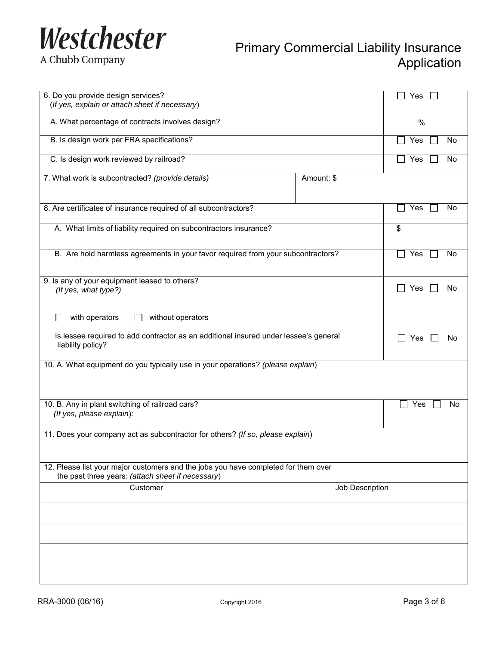

A Chubb Company

## Primary Commercial Liability Insurance Application

| 6. Do you provide design services?<br>(If yes, explain or attach sheet if necessary)                                                    |                 | Yes                    |
|-----------------------------------------------------------------------------------------------------------------------------------------|-----------------|------------------------|
| A. What percentage of contracts involves design?                                                                                        |                 | $\%$                   |
| B. Is design work per FRA specifications?                                                                                               |                 | Yes<br><b>No</b><br>L. |
| C. Is design work reviewed by railroad?                                                                                                 |                 | Yes<br>No              |
| 7. What work is subcontracted? (provide details)                                                                                        | Amount: \$      |                        |
| 8. Are certificates of insurance required of all subcontractors?                                                                        |                 | Yes<br><b>No</b>       |
| A. What limits of liability required on subcontractors insurance?                                                                       |                 | \$                     |
| B. Are hold harmless agreements in your favor required from your subcontractors?                                                        |                 | Yes<br><b>No</b>       |
| 9. Is any of your equipment leased to others?<br>(If yes, what type?)                                                                   |                 | Yes<br>No              |
| with operators<br>without operators                                                                                                     |                 |                        |
| Is lessee required to add contractor as an additional insured under lessee's general<br>liability policy?                               |                 | Yes<br>No.             |
| 10. A. What equipment do you typically use in your operations? (please explain)                                                         |                 |                        |
| 10. B. Any in plant switching of railroad cars?<br>(If yes, please explain):                                                            |                 | Yes<br>No              |
| 11. Does your company act as subcontractor for others? (If so, please explain)                                                          |                 |                        |
| 12. Please list your major customers and the jobs you have completed for them over<br>the past three years: (attach sheet if necessary) |                 |                        |
| Customer                                                                                                                                | Job Description |                        |
|                                                                                                                                         |                 |                        |
|                                                                                                                                         |                 |                        |
|                                                                                                                                         |                 |                        |
|                                                                                                                                         |                 |                        |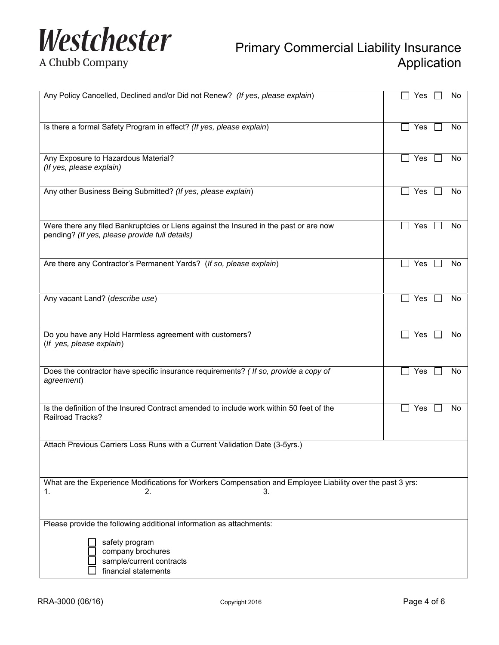

#### A Chubb Company

# Primary Commercial Liability Insurance **Application**

| Any Policy Cancelled, Declined and/or Did not Renew? (If yes, please explain)                                                           | Yes<br>No                   |
|-----------------------------------------------------------------------------------------------------------------------------------------|-----------------------------|
| Is there a formal Safety Program in effect? (If yes, please explain)                                                                    | Yes<br>No<br>$\blacksquare$ |
| Any Exposure to Hazardous Material?<br>(If yes, please explain)                                                                         | Yes<br>No                   |
| Any other Business Being Submitted? (If yes, please explain)                                                                            | Yes<br>No<br>$\blacksquare$ |
| Were there any filed Bankruptcies or Liens against the Insured in the past or are now<br>pending? (If yes, please provide full details) | Yes<br>No                   |
| Are there any Contractor's Permanent Yards? (If so, please explain)                                                                     | Yes<br>No                   |
| Any vacant Land? (describe use)                                                                                                         | $\Box$ Yes<br>No            |
| Do you have any Hold Harmless agreement with customers?<br>(If yes, please explain)                                                     | Yes<br>No                   |
| Does the contractor have specific insurance requirements? ( If so, provide a copy of<br>agreement)                                      | Yes<br>No                   |
| Is the definition of the Insured Contract amended to include work within 50 feet of the<br>Railroad Tracks?                             | Yes<br>No                   |
| Attach Previous Carriers Loss Runs with a Current Validation Date (3-5yrs.)                                                             |                             |
| What are the Experience Modifications for Workers Compensation and Employee Liability over the past 3 yrs:<br>1.<br>2.<br>3.            |                             |
| Please provide the following additional information as attachments:                                                                     |                             |
| safety program<br>company brochures<br>sample/current contracts<br>financial statements                                                 |                             |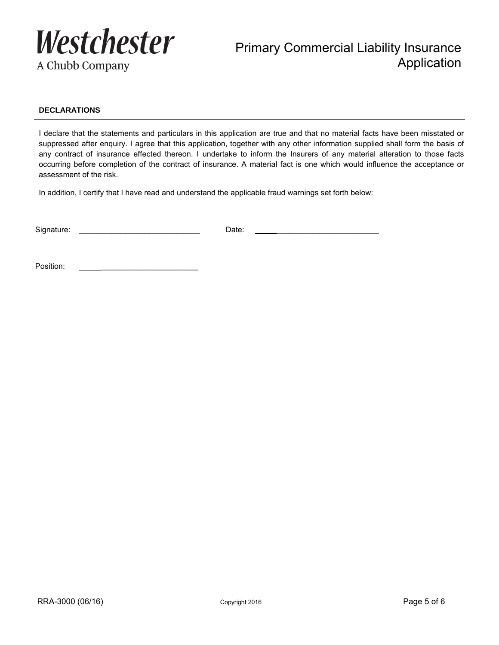

### Primary Commercial Liability Insurance Application

#### **DECLARATIONS**

I declare that the statements and particulars in this application are true and that no material facts have been misstated or suppressed after enquiry. I agree that this application, together with any other information supplied shall form the basis of any contract of insurance effected thereon. I undertake to inform the Insurers of any material alteration to those facts occurring before completion of the contract of insurance. A material fact is one which would influence the acceptance or assessment of the risk.

In addition, I certify that I have read and understand the applicable fraud warnings set forth below:

Signature: \_\_\_\_\_\_\_\_\_\_\_\_\_\_\_\_\_\_\_\_\_\_\_\_\_\_ Date: \_\_\_\_\_\_\_\_\_\_\_\_\_\_\_\_\_\_\_\_\_\_

Position: